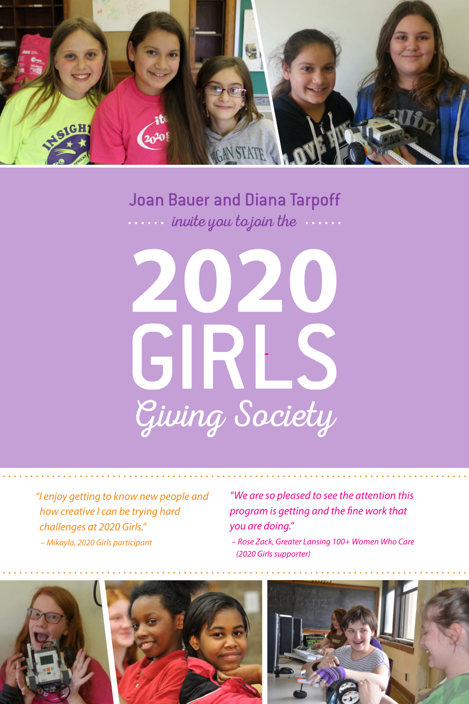

#### Joan Bauer and Diana Tarpoff  $\cdots$  invite you to join the  $\cdots$



*"I enjoy getting to know new people and how creative I can be trying hard challenges at 2020 Girls." – Mikayla, 2020 Girls participant*

*"We are so pleased to see the attention this program is getting and the fine work that you are doing."*

*– Rose Zack, Greater Lansing 100+ Women Who Care (2020 Girls supporter)*





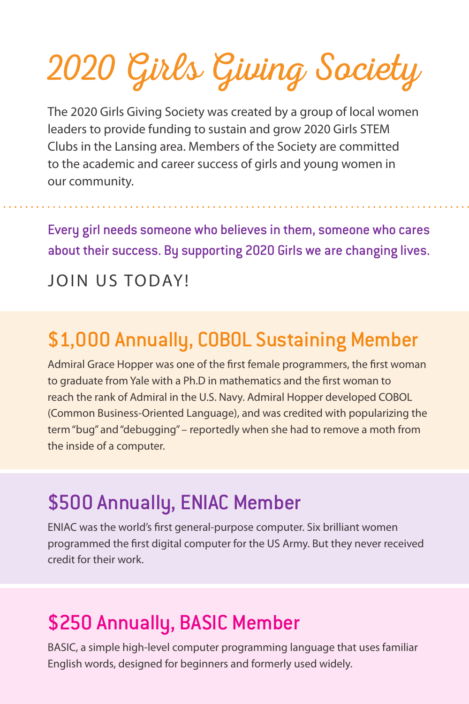2020 Girls Giving Society

The 2020 Girls Giving Society was created by a group of local women leaders to provide funding to sustain and grow 2020 Girls STEM Clubs in the Lansing area. Members of the Society are committed to the academic and career success of girls and young women in our community.

Every girl needs someone who believes in them, someone who cares about their success. By supporting 2020 Girls we are changing lives.

#### JOIN US TODAY!

### \$1,000 Annually, COBOL Sustaining Member

Admiral Grace Hopper was one of the first female programmers, the first woman to graduate from Yale with a Ph.D in mathematics and the first woman to reach the rank of Admiral in the U.S. Navy. Admiral Hopper developed COBOL (Common Business-Oriented Language), and was credited with popularizing the term "bug" and "debugging" – reportedly when she had to remove a moth from the inside of a computer.

#### \$500 Annually, ENIAC Member

ENIAC was the world's first general-purpose computer. Six brilliant women programmed the first digital computer for the US Army. But they never received credit for their work.

## \$250 Annually, BASIC Member

BASIC, a simple high-level computer programming language that uses familiar English words, designed for beginners and formerly used widely.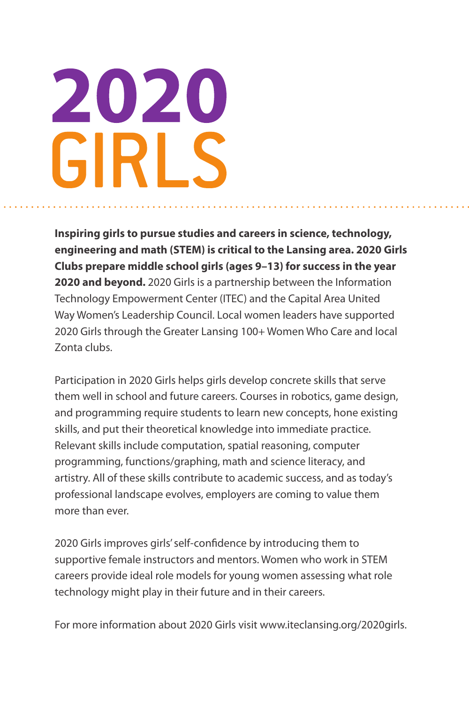# 2020 GIRLS

**Inspiring girls to pursue studies and careers in science, technology, engineering and math (STEM) is critical to the Lansing area. 2020 Girls Clubs prepare middle school girls (ages 9–13) for success in the year 2020 and beyond.** 2020 Girls is a partnership between the Information Technology Empowerment Center (ITEC) and the Capital Area United Way Women's Leadership Council. Local women leaders have supported 2020 Girls through the Greater Lansing 100+ Women Who Care and local Zonta clubs.

Participation in 2020 Girls helps girls develop concrete skills that serve them well in school and future careers. Courses in robotics, game design, and programming require students to learn new concepts, hone existing skills, and put their theoretical knowledge into immediate practice. Relevant skills include computation, spatial reasoning, computer programming, functions/graphing, math and science literacy, and artistry. All of these skills contribute to academic success, and as today's professional landscape evolves, employers are coming to value them more than ever.

2020 Girls improves girls' self-confidence by introducing them to supportive female instructors and mentors. Women who work in STEM careers provide ideal role models for young women assessing what role technology might play in their future and in their careers.

For more information about 2020 Girls visit www.iteclansing.org/2020girls.